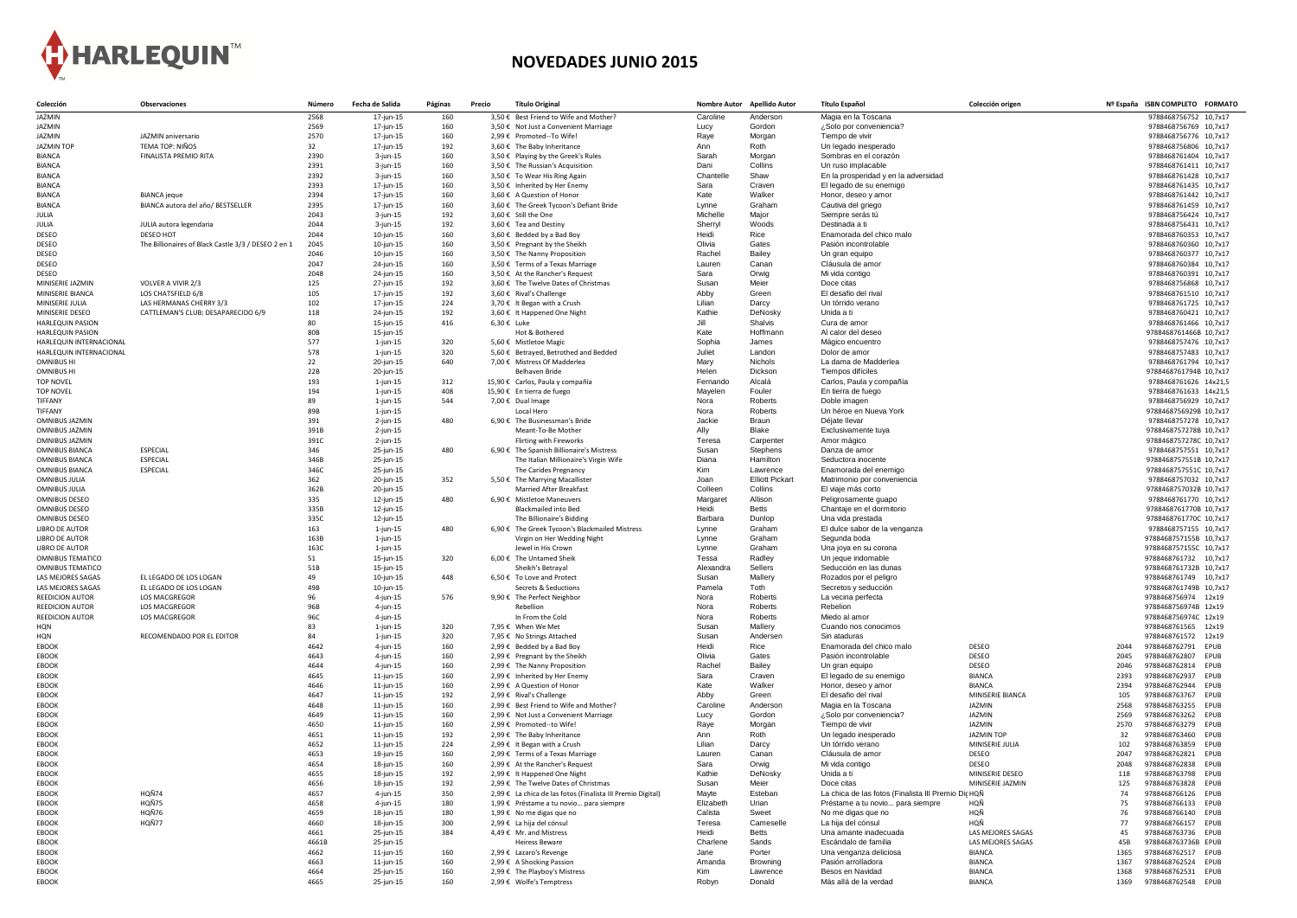

## **NOVEDADES JUNIO 2015**

| Colección                                      | <b>Observaciones</b>                                | Númerc       | Fecha de Salida              | Páginas    | <b>Precio</b> | <b>Título Original</b>                                                  |                    | Nombre Autor Apellido Autor | <b>Título Español</b>                              | Colección origen               |              | Nº España ISBN COMPLETO FORMATO                    |
|------------------------------------------------|-----------------------------------------------------|--------------|------------------------------|------------|---------------|-------------------------------------------------------------------------|--------------------|-----------------------------|----------------------------------------------------|--------------------------------|--------------|----------------------------------------------------|
| JAZMIN                                         |                                                     | 2568         | $17$ -jun-15                 | 160        |               | 3,50 € Best Friend to Wife and Mother?                                  | Caroline           | Anderson                    | Magia en la Toscana                                |                                |              | 9788468756752 10,7x17                              |
| JAZMIN                                         |                                                     | 2569         | 17-jun-15                    | 160        |               | 3,50 € Not Just a Convenient Marriage                                   | Lucy               | Gordon                      | ¿Solo por conveniencia?                            |                                |              | 9788468756769 10,7x17                              |
| JAZMIN                                         | JAZMIN aniversario                                  | 2570         | 17-jun-15                    | 160        |               | 2,99 € Promoted--To Wife!                                               | Raye               | Morgan                      | Tiempo de vivir                                    |                                |              | 9788468756776 10,7x17                              |
| <b>JAZMIN TOP</b>                              | <b>TEMA TOP: NIÑOS</b>                              | 32           | 17-jun-15                    | 192        |               | 3,60 € The Baby Inheritance                                             | Ann                | Roth                        | Un legado inesperado                               |                                |              | 9788468756806 10,7x17                              |
| <b>BIANCA</b><br><b>BIANCA</b>                 | FINALISTA PREMIO RITA                               | 2390<br>2391 | $3$ -jun-15<br>$3$ -jun-15   | 160<br>160 |               | 3,50 € Playing by the Greek's Rules<br>3,50 € The Russian's Acquisition | Sarah<br>Dani      | Morgan<br>Collins           | Sombras en el corazón<br>Un ruso implacable        |                                |              | 9788468761404 10,7x17<br>9788468761411 10,7x17     |
| <b>BIANCA</b>                                  |                                                     | 2392         | $3$ -jun-15                  | 160        |               | 3,50 € To Wear His Ring Again                                           | Chantell           | Shaw                        | En la prosperidad y en la adversidad               |                                |              | 9788468761428 10,7x17                              |
| <b>BIANCA</b>                                  |                                                     | 2393         | 17-jun-15                    | 160        |               | 3,50 € Inherited by Her Enemy                                           | Sara               | Craven                      | El legado de su enemigo                            |                                |              | 9788468761435 10,7x17                              |
| <b>BIANCA</b>                                  | <b>BIANCA</b> jeque                                 | 2394         | 17-jun-15                    | 160        |               | 3,60 € A Question of Honor                                              | Kate               | Walker                      | Honor, deseo y amor                                |                                |              | 9788468761442 10,7x17                              |
| <b>BIANCA</b>                                  | BIANCA autora del año/ BESTSELLER                   | 2395         | 17-jun-15                    | 160        |               | 3,60 € The Greek Tycoon's Defiant Bride                                 | Lynne              | Graham                      | Cautiva del griego                                 |                                |              | 9788468761459 10,7x17                              |
| JULIA                                          |                                                     | 2043         | $3$ -jun-15                  | 192        |               | 3,60 € Still the One                                                    | Michelle           | Major                       | Siempre serás tú                                   |                                |              | 9788468756424 10,7x17                              |
| JULIA                                          | JULIA autora legendaria                             | 2044         | $3$ -jun-15                  | 192        |               | 3,60 € Tea and Destiny                                                  | Sherryl            | Woods                       | Destinada a ti                                     |                                |              | 9788468756431 10,7x17                              |
| <b>DESEO</b>                                   | DESEO HOT                                           | 2044         | $10$ -jun-15                 | 160        |               | $3,60 \in$ Bedded by a Bad Boy                                          | Heidi              | Rice                        | Enamorada del chico malo                           |                                |              | 9788468760353 10,7x17                              |
| <b>DESEO</b><br><b>DESEO</b>                   | The Billionaires of Black Castle 3/3 / DESEO 2 en 1 | 2045<br>2046 | $10$ -jun-15<br>10-jun-15    | 160<br>160 |               | 3,50 € Pregnant by the Sheikh<br>3,50 € The Nanny Proposition           | Olivia<br>Rachel   | Gates<br><b>Bailey</b>      | Pasión incontrolable<br>Un gran equipo             |                                |              | 9788468760360 10,7x17<br>9788468760377 10,7x17     |
| <b>DESEO</b>                                   |                                                     | 2047         | 24-jun-15                    | 160        |               | 3,50 € Terms of a Texas Marriage                                        | Lauren             | Canan                       | Cláusula de amor                                   |                                |              | 9788468760384 10,7x17                              |
| <b>DESEO</b>                                   |                                                     | 2048         | 24-jun-15                    | 160        |               | 3,50 € At the Rancher's Request                                         | Sara               | Orwig                       | Mi vida contigo                                    |                                |              | 9788468760391 10,7x17                              |
| MINISERIE JAZMIN                               | VOLVER A VIVIR 2/3                                  | 125          | 27-jun-15                    | 192        |               | 3,60 € The Twelve Dates of Christmas                                    | Susan              | Meier                       | Doce citas                                         |                                |              | 9788468756868 10,7x17                              |
| MINISERIE BIANCA                               | LOS CHATSFIELD 6/8                                  | 105          | 17-jun-15                    | 192        |               | 3,60 € Rival's Challenge                                                | Abby               | Green                       | El desafio del rival                               |                                |              | 9788468761510 10,7x17                              |
| MINISERIE JULIA                                | LAS HERMANAS CHERRY 3/3                             | 102          | 17-jun-15                    | 224        |               | 3,70 € It Began with a Crush                                            | Lilian             | Darcy                       | Un tórrido verano                                  |                                |              | 9788468761725 10,7x17                              |
| MINISERIE DESEO                                | CATTLEMAN'S CLUB: DESAPARECIDO 6/9                  | 118          | 24-jun-15                    | 192        |               | 3,60 € It Happened One Night                                            | Kathie             | DeNosky                     | Unida a ti                                         |                                |              | 9788468760421 10,7x17                              |
| <b>HARLEQUIN PASION</b>                        |                                                     | 80           | $15$ -jun-15                 | 416        |               | $6,30€$ Luke                                                            | Jill               | Shalvis                     | Cura de amor                                       |                                |              | 9788468761466 10,7x17                              |
| <b>HARLEQUIN PASION</b>                        |                                                     | 80B          | 15-jun-15                    |            |               | Hot & Bothered                                                          | Kate               | Hoffmann                    | Al calor del deseo                                 |                                |              | 9788468761466B 10,7x17                             |
| HARLEQUIN INTERNACIONAL                        |                                                     | 577          | $1$ -jun-15                  | 320        |               | 5,60 € Mistletoe Magic                                                  | Sophia             | James                       | Mágico encuentro                                   |                                |              | 9788468757476 10,7x17                              |
| HARLEQUIN INTERNACIONAL<br><b>OMNIBUS HI</b>   |                                                     | 578<br>22    | $1$ -jun-15<br>20-jun-15     | 320<br>640 |               | 5,60 € Betrayed, Betrothed and Bedded<br>7,00 € Mistress Of Madderlea   | Juliet<br>Mary     | Landon<br>Nichols           | Dolor de amor<br>La dama de Madderlea              |                                |              | 9788468757483 10,7x17<br>9788468761794 10,7x17     |
| <b>OMNIBUS HI</b>                              |                                                     | 22B          | 20-jun-15                    |            |               | Belhaven Bride                                                          | Helen              | Dickson                     | Tiempos difíciles                                  |                                |              | 9788468761794B 10,7x17                             |
| <b>TOP NOVEL</b>                               |                                                     | 193          | $1$ -jun-15                  | 312        |               | 15,90 € Carlos, Paula y compañía                                        | Fernando           | Alcalá                      | Carlos, Paula y compañía                           |                                |              | 9788468761626 14x21,5                              |
| <b>TOP NOVEL</b>                               |                                                     | 194          | $1$ -jun-15                  | 408        |               | 15,90 € En tierra de fuego                                              | Mayelen            | Fouler                      | En tierra de fuego                                 |                                |              | 9788468761633 14x21,5                              |
| <b>TIFFANY</b>                                 |                                                     | 89           | $1$ -jun-15                  | 544        |               | 7,00 € Dual Image                                                       | Nora               | Roberts                     | Doble imagen                                       |                                |              | 9788468756929 10,7x17                              |
| <b>TIFFANY</b>                                 |                                                     | 89B          | $1$ -jun-15                  |            |               | Local Hero                                                              | Nora               | Roberts                     | Un héroe en Nueva York                             |                                |              | 9788468756929B 10,7x17                             |
| <b>OMNIBUS JAZMIN</b>                          |                                                     | 391          | $2$ -jun-15                  | 480        |               | 6,90 € The Businessman's Bride                                          | Jackie             | <b>Braun</b>                | Déjate llevar                                      |                                |              | 9788468757278 10,7x17                              |
| <b>OMNIBUS JAZMIN</b>                          |                                                     | 391B         | $2$ -jun-15                  |            |               | Meant-To-Be Mother                                                      | Ally               | Blake                       | Exclusivamente tuya                                |                                |              | 9788468757278B 10,7x17                             |
| <b>OMNIBUS JAZMIN</b>                          |                                                     | 391C         | $2$ -jun-15                  |            |               | <b>Flirting with Fireworks</b>                                          | Teresa             | Carpenter                   | Amor mágico                                        |                                |              | 9788468757278C 10,7x17                             |
| <b>OMNIBUS BIANCA</b>                          | <b>ESPECIAL</b>                                     | 346          | 25-jun-15                    | 480        |               | 6,90 € The Spanish Billionaire's Mistress                               | Susan              | Stephens<br>Hamilton        | Danza de amor<br>Seductora inocente                |                                |              | 9788468757551 10,7x17                              |
| <b>OMNIBUS BIANCA</b><br><b>OMNIBUS BIANCA</b> | <b>ESPECIAL</b><br><b>ESPECIAL</b>                  | 346B<br>346C | 25-jun-15<br>25-jun-15       |            |               | The Italian Millionaire's Virgin Wife<br>The Carides Pregnancy          | Diana<br>Kim       | Lawrence                    | Enamorada del enemigo                              |                                |              | 9788468757551B 10,7x17<br>9788468757551C 10,7x17   |
| <b>OMNIBUS JULIA</b>                           |                                                     | 362          | 20-jun-15                    | 352        |               | 5,50 € The Marrying Macallister                                         | Joan               | <b>Elliott Pickart</b>      | Matrimonio por conveniencia                        |                                |              | 9788468757032 10,7x17                              |
| <b>OMNIBUS JULIA</b>                           |                                                     | 362B         | 20-jun-15                    |            |               | <b>Married After Breakfast</b>                                          | Colleen            | Collins                     | El viaje más corto                                 |                                |              | 9788468757032B 10,7x17                             |
| <b>OMNIBUS DESEO</b>                           |                                                     | 335          | $12$ -jun-15                 | 480        |               | 6,90 € Mistletoe Maneuvers                                              | Margaret           | Allison                     | Peligrosamente guapo                               |                                |              | 9788468761770 10,7x17                              |
| <b>OMNIBUS DESEO</b>                           |                                                     | 335B         | $12$ -jun-15                 |            |               | <b>Blackmailed into Bed</b>                                             | Heidi              | <b>Betts</b>                | Chantaje en el dormitorio                          |                                |              | 9788468761770B 10,7x17                             |
| <b>OMNIBUS DESEO</b>                           |                                                     | 335C         | $12$ -jun-15                 |            |               | The Billionaire's Bidding                                               | <b>Barbara</b>     | Dunlop                      | Una vida prestada                                  |                                |              | 9788468761770C 10,7x17                             |
| <b>LIBRO DE AUTOR</b>                          |                                                     | 163          | $1$ -jun-15                  | 480        |               | 6,90 € The Greek Tycoon's Blackmailed Mistress                          | Lynne              | Graham                      | El dulce sabor de la venganza                      |                                |              | 9788468757155 10,7x17                              |
| <b>LIBRO DE AUTOR</b>                          |                                                     | 163B         | $1$ -jun-15                  |            |               | Virgin on Her Wedding Night                                             | Lynne              | Graham                      | Segunda boda                                       |                                |              | 9788468757155B 10,7x17                             |
| <b>LIBRO DE AUTOR</b>                          |                                                     | 163C         | $1$ -jun-15                  |            |               | Jewel in His Crown                                                      | Lynne              | Graham                      | Una joya en su corona                              |                                |              | 9788468757155C 10,7x17                             |
| <b>OMNIBUS TEMATICO</b>                        |                                                     | 51           | $15$ -jun-15                 | 320        |               | 6,00 € The Untamed Sheik                                                | Tessa<br>Alexandra | Radley<br><b>Sellers</b>    | Un jeque indomable<br>Seducción en las dunas       |                                |              | 9788468761732 10,7x17                              |
| <b>OMNIBUS TEMATICO</b><br>LAS MEJORES SAGAS   | EL LEGADO DE LOS LOGAN                              | 51B<br>49    | $15$ -jun-15<br>$10$ -jun-15 | 448        |               | Sheikh's Betrayal<br>6,50 € To Love and Protect                         | Susan              | Mallery                     | Rozados por el peligro                             |                                |              | 9788468761732B 10,7x17<br>9788468761749<br>10,7x17 |
| LAS MEJORES SAGAS                              | EL LEGADO DE LOS LOGAN                              | 49B          | $10$ -jun-15                 |            |               | Secrets & Seductions                                                    | Pamela             | Toth                        | Secretos y seducción                               |                                |              | 9788468761749B 10,7x17                             |
| <b>REEDICION AUTOR</b>                         | <b>LOS MACGREGOR</b>                                | 96           | $4$ -jun-15                  | 576        |               | 9,90 € The Perfect Neighbor                                             | Nora               | Roberts                     | La vecina perfecta                                 |                                |              | 9788468756974 12x19                                |
| <b>REEDICION AUTOR</b>                         | <b>LOS MACGREGOR</b>                                | 96B          | $4$ -jun-15                  |            |               | Rebellion                                                               | Nora               | Roberts                     | Rebelion                                           |                                |              | 9788468756974B 12x19                               |
| <b>REEDICION AUTOR</b>                         | <b>LOS MACGREGOR</b>                                | 96C          | $4$ -jun-15                  |            |               | In From the Cold                                                        | Nora               | Roberts                     | Miedo al amor                                      |                                |              | 9788468756974C 12x19                               |
| HQN                                            |                                                     | 83           | $1$ -jun-15                  | 320        |               | 7,95 € When We Met                                                      | Susan              | Mallery                     | Cuando nos conocimos                               |                                |              | 9788468761565 12x19                                |
| HQN                                            | RECOMENDADO POR EL EDITOR                           | 84           | $1$ -jun-15                  | 320        |               | 7,95 € No Strings Attached                                              | Susan              | Andersen                    | Sin ataduras                                       |                                |              | 9788468761572 12x19                                |
| <b>EBOOK</b>                                   |                                                     | 4642         | $4$ -jun-15                  | 160        |               | 2,99 € Bedded by a Bad Boy                                              | Heidi              | Rice                        | Enamorada del chico malo                           | DESEO                          | 2044         | 9788468762791 EPUB                                 |
| <b>EBOOK</b><br><b>EBOOK</b>                   |                                                     | 4643<br>4644 | $4$ -jun-15<br>$4$ -jun-15   | 160<br>160 |               | 2,99 € Pregnant by the Sheikh<br>2,99 € The Nanny Proposition           | Olivia<br>Rache    | Gates<br><b>Bailey</b>      | Pasión incontrolable<br>Un gran equipo             | <b>DESEO</b><br><b>DESEO</b>   | 2045<br>2046 | 9788468762807 EPUB<br>9788468762814 EPUB           |
| EBOOK                                          |                                                     | 4645         | $11$ -jun-15                 | 160        |               | 2,99 € Inherited by Her Enemy                                           | Sara               | Craven                      | El legado de su enemigo                            | <b>BIANCA</b>                  | 2393         | 9788468762937<br><b>EPUB</b>                       |
| <b>EBOOK</b>                                   |                                                     | 4646         | 11-jun-15                    | 160        |               | 2,99 € A Question of Honor                                              | Kate               | Walker                      | Honor, deseo y amor                                | <b>BIANCA</b>                  | 2394         | 9788468762944 EPUB                                 |
| <b>EBOOK</b>                                   |                                                     | 4647         | 11-jun-15                    | 192        |               | 2,99 € Rival's Challenge                                                | Abby               | Green                       | El desafio del rival                               | MINISERIE BIANCA               | 105          | 9788468763767<br><b>EPUB</b>                       |
| <b>EBOOK</b>                                   |                                                     | 4648         | 11-jun-15                    | 160        |               | 2,99 € Best Friend to Wife and Mother?                                  | Caroline           | Anderson                    | Magia en la Toscana                                | <b>JAZMIN</b>                  |              | 9788468763255 EPUB                                 |
| <b>EBOOK</b>                                   |                                                     | 4649         | 11-jun-15                    | 160        |               | 2,99 € Not Just a Convenient Marriage                                   | Lucy               | Gordon                      | ¿Solo por conveniencia?                            | <b>JAZMIN</b>                  | 2569         | 9788468763262 EPUB                                 |
| <b>EBOOK</b>                                   |                                                     | 4650         | $11$ -jun-15                 | 160        |               | 2,99 € Promoted--to Wife!                                               | Raye               | Morgan                      | Tiempo de vivir                                    | JAZMIN                         | 2570         | 9788468763279 EPUB                                 |
| <b>EBOOK</b>                                   |                                                     | 4651         | 11-jun-15                    | 192        |               | 2,99 € The Baby Inheritance                                             | Ann                | Roth                        | Un legado inesperado                               | JAZMIN TOP                     | 32           | 9788468763460 EPUB                                 |
| <b>EBOOK</b>                                   |                                                     | 4652         | 11-jun-15                    | 224        |               | 2,99 € It Began with a Crush                                            | Lilian             | Darcy                       | Un tórrido verano                                  | MINISERIE JULIA                | 102          | 9788468763859<br>EPUB                              |
| <b>EBOOK</b>                                   |                                                     | 4653<br>4654 | $18$ -jun-15                 | 160        |               | 2,99 € Terms of a Texas Marriage                                        | Lauren<br>Sara     | Canan<br>Orwig              | Cláusula de amor<br>Mi vida contigo                | DESEO<br><b>DESEO</b>          | 2047         | 9788468762821 EPUB                                 |
| <b>EBOOK</b><br><b>EBOOK</b>                   |                                                     | 4655         | $18$ -jun-15<br>18-jun-15    | 160<br>192 |               | 2,99 € At the Rancher's Request<br>2,99 € It Happened One Night         | Kathie             | DeNosky                     | Unida a ti                                         | MINISERIE DESEO                | 2048<br>118  | 9788468762838 EPUB<br>9788468763798 EPUB           |
| <b>EBOOK</b>                                   |                                                     | 4656         | 18-jun-15                    | 192        |               | 2,99 € The Twelve Dates of Christmas                                    | Susan              | Meier                       | Doce citas                                         | MINISERIE JAZMIN               | 125          | 9788468763828 EPUB                                 |
| <b>EBOOK</b>                                   | HQÑ74                                               | 4657         | $4$ -jun-15                  | 350        |               | 2,99 € La chica de las fotos (Finalista III Premio Digital)             | Mayte              | Esteban                     | La chica de las fotos (Finalista III Premio DicHQÑ |                                |              | 9788468766126 EPUB                                 |
| <b>EBOOK</b>                                   | HQÑ75                                               | 4658         | $4$ -jun-15                  | 180        |               | 1,99 € Préstame a tu novio para siempre                                 | Elizabeth          | Urian                       | Préstame a tu novio para siempre                   | HQÑ                            |              | 9788468766133 EPUB                                 |
| EBOOK                                          | HQÑ76                                               | 4659         | 18-jun-15                    | 180        |               | 1,99 € No me digas que no                                               | Calista            | Sweet                       | No me digas que no                                 | HQÑ                            |              | 9788468766140<br><b>EPUB</b>                       |
| <b>EBOOK</b>                                   | HQÑ77                                               | 4660         | $18$ -jun-15                 | 300        |               | 2,99 € La hija del cónsul                                               | Teresa             | Cameselle                   | La hija del cónsul                                 | HQÑ                            |              | 9788468766157 EPUB                                 |
| EBOOK                                          |                                                     | 4661         | 25-jun-15                    | 384        |               | 4,49 € Mr. and Mistress                                                 | Heidi              | <b>Betts</b>                | Una amante inadecuada                              | LAS MEJORES SAGAS              | 45           | 9788468763736 EPUB                                 |
| <b>EBOOK</b>                                   |                                                     | 4661B        | 25-jun-15                    |            |               | <b>Heiress Beware</b>                                                   | Charlene           | Sands                       | Escándalo de familia                               | LAS MEJORES SAGAS              |              | 9788468763736B EPUB                                |
| <b>EBOOK</b>                                   |                                                     | 4662         | 11-jun-15                    | 160        |               | 2,99 € Lazaro's Revenge                                                 | Jane               | Porter                      | Una venganza deliciosa                             | <b>BIANCA</b>                  | 1365         | 9788468762517 EPUB                                 |
| <b>EBOOK</b><br><b>EBOOK</b>                   |                                                     | 4663<br>4664 | $11$ -jun-15<br>25-jun-15    | 160<br>160 |               | 2,99 € A Shocking Passion<br>2,99 € The Playboy's Mistress              | Amanda<br>Kim      | <b>Browning</b><br>Lawrence | Pasión arrolladora<br>Besos en Navidad             | <b>BIANCA</b><br><b>BIANCA</b> | 1367<br>1368 | 9788468762524 EPUB<br>9788468762531 EPUB           |
| <b>EBOOK</b>                                   |                                                     | 4665         | 25-jun-15                    | 160        |               | 2,99 € Wolfe's Temptress                                                | Robyn              | Donald                      | Más allá de la verdad                              | <b>BIANCA</b>                  | 1369         | 9788468762548 EPUB                                 |
|                                                |                                                     |              |                              |            |               |                                                                         |                    |                             |                                                    |                                |              |                                                    |